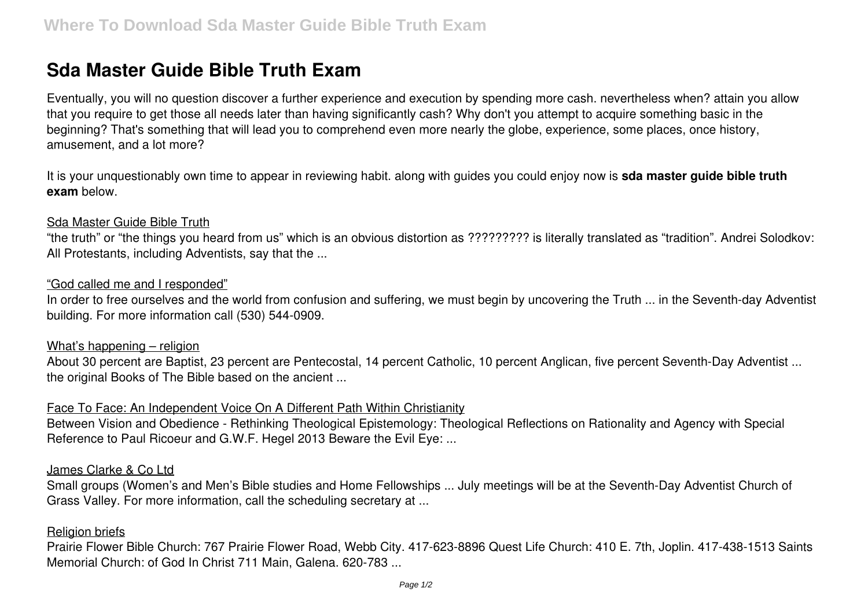# **Sda Master Guide Bible Truth Exam**

Eventually, you will no question discover a further experience and execution by spending more cash. nevertheless when? attain you allow that you require to get those all needs later than having significantly cash? Why don't you attempt to acquire something basic in the beginning? That's something that will lead you to comprehend even more nearly the globe, experience, some places, once history, amusement, and a lot more?

It is your unquestionably own time to appear in reviewing habit. along with guides you could enjoy now is **sda master guide bible truth exam** below.

#### Sda Master Guide Bible Truth

"the truth" or "the things you heard from us" which is an obvious distortion as ????????? is literally translated as "tradition". Andrei Solodkov: All Protestants, including Adventists, say that the ...

#### "God called me and I responded"

In order to free ourselves and the world from confusion and suffering, we must begin by uncovering the Truth ... in the Seventh-day Adventist building. For more information call (530) 544-0909.

#### What's happening – religion

About 30 percent are Baptist, 23 percent are Pentecostal, 14 percent Catholic, 10 percent Anglican, five percent Seventh-Day Adventist ... the original Books of The Bible based on the ancient ...

# Face To Face: An Independent Voice On A Different Path Within Christianity

Between Vision and Obedience - Rethinking Theological Epistemology: Theological Reflections on Rationality and Agency with Special Reference to Paul Ricoeur and G.W.F. Hegel 2013 Beware the Evil Eye: ...

# James Clarke & Co Ltd

Small groups (Women's and Men's Bible studies and Home Fellowships ... July meetings will be at the Seventh-Day Adventist Church of Grass Valley. For more information, call the scheduling secretary at ...

# **Religion briefs**

Prairie Flower Bible Church: 767 Prairie Flower Road, Webb City. 417-623-8896 Quest Life Church: 410 E. 7th, Joplin. 417-438-1513 Saints Memorial Church: of God In Christ 711 Main, Galena. 620-783 ...